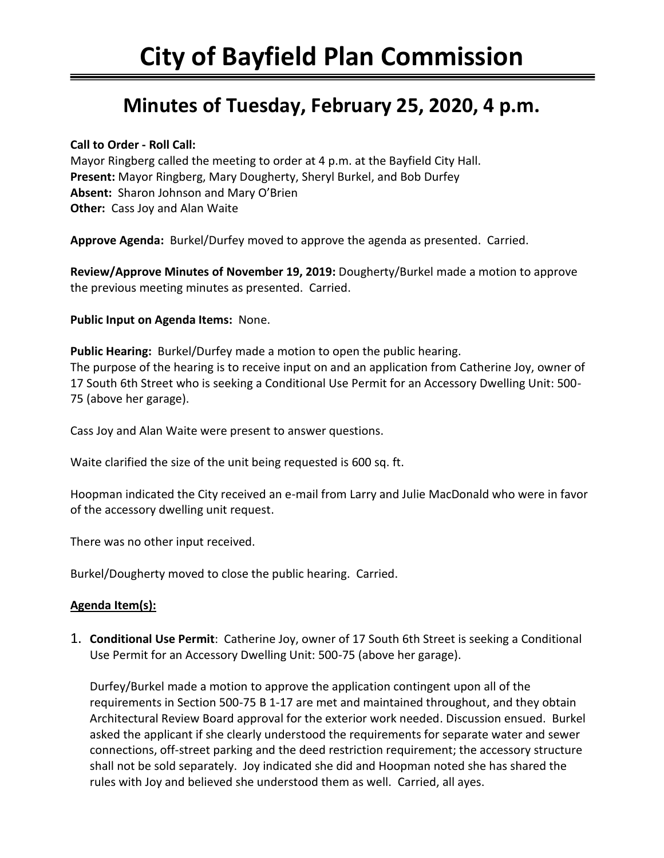# **Minutes of Tuesday, February 25, 2020, 4 p.m.**

### **Call to Order - Roll Call:**

Mayor Ringberg called the meeting to order at 4 p.m. at the Bayfield City Hall. **Present:** Mayor Ringberg, Mary Dougherty, Sheryl Burkel, and Bob Durfey **Absent:** Sharon Johnson and Mary O'Brien **Other:** Cass Joy and Alan Waite

**Approve Agenda:** Burkel/Durfey moved to approve the agenda as presented. Carried.

**Review/Approve Minutes of November 19, 2019:** Dougherty/Burkel made a motion to approve the previous meeting minutes as presented. Carried.

### **Public Input on Agenda Items:** None.

**Public Hearing:** Burkel/Durfey made a motion to open the public hearing. The purpose of the hearing is to receive input on and an application from Catherine Joy, owner of 17 South 6th Street who is seeking a Conditional Use Permit for an Accessory Dwelling Unit: 500- 75 (above her garage).

Cass Joy and Alan Waite were present to answer questions.

Waite clarified the size of the unit being requested is 600 sq. ft.

Hoopman indicated the City received an e-mail from Larry and Julie MacDonald who were in favor of the accessory dwelling unit request.

There was no other input received.

Burkel/Dougherty moved to close the public hearing. Carried.

## **Agenda Item(s):**

1. **Conditional Use Permit**: Catherine Joy, owner of 17 South 6th Street is seeking a Conditional Use Permit for an Accessory Dwelling Unit: 500-75 (above her garage).

Durfey/Burkel made a motion to approve the application contingent upon all of the requirements in Section 500-75 B 1-17 are met and maintained throughout, and they obtain Architectural Review Board approval for the exterior work needed. Discussion ensued. Burkel asked the applicant if she clearly understood the requirements for separate water and sewer connections, off-street parking and the deed restriction requirement; the accessory structure shall not be sold separately. Joy indicated she did and Hoopman noted she has shared the rules with Joy and believed she understood them as well. Carried, all ayes.